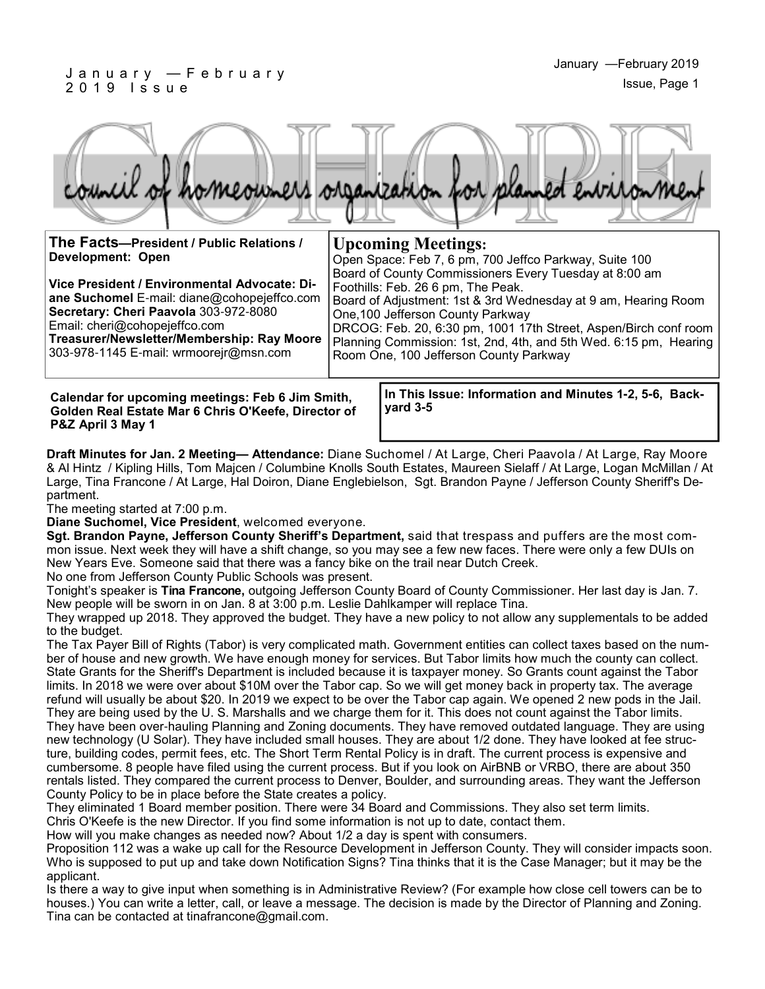#### J a n u a r y — F e b r u a r y 2 0 1 9 I s s u e



**Upcoming Meetings:**

Foothills: Feb. 26 6 pm, The Peak.

One,100 Jefferson County Parkway

Room One, 100 Jefferson County Parkway

**The Facts—President / Public Relations / Development: Open**

**Vice President / Environmental Advocate: Diane Suchomel** E-mail: diane@cohopejeffco.com **Secretary: Cheri Paavola** 303-972-8080 Email: cheri@cohopejeffco.com

**Treasurer/Newsletter/Membership: Ray Moore**  303-978-1145 E-mail: wrmoorejr@msn.com

**Calendar for upcoming meetings: Feb 6 Jim Smith, Golden Real Estate Mar 6 Chris O'Keefe, Director of P&Z April 3 May 1**

**In This Issue: Information and Minutes 1-2, 5-6, Backyard 3-5**

Open Space: Feb 7, 6 pm, 700 Jeffco Parkway, Suite 100 Board of County Commissioners Every Tuesday at 8:00 am

Board of Adjustment: 1st & 3rd Wednesday at 9 am, Hearing Room

DRCOG: Feb. 20, 6:30 pm, 1001 17th Street, Aspen/Birch conf room Planning Commission: 1st, 2nd, 4th, and 5th Wed. 6:15 pm, Hearing

**Draft Minutes for Jan. 2 Meeting— Attendance:** Diane Suchomel / At Large, Cheri Paavola / At Large, Ray Moore & Al Hintz / Kipling Hills, Tom Majcen / Columbine Knolls South Estates, Maureen Sielaff / At Large, Logan McMillan / At Large, Tina Francone / At Large, Hal Doiron, Diane Englebielson, Sgt. Brandon Payne / Jefferson County Sheriff's Department.

The meeting started at 7:00 p.m.

**Diane Suchomel, Vice President**, welcomed everyone.

**Sgt. Brandon Payne, Jefferson County Sheriff's Department,** said that trespass and puffers are the most common issue. Next week they will have a shift change, so you may see a few new faces. There were only a few DUIs on New Years Eve. Someone said that there was a fancy bike on the trail near Dutch Creek.

No one from Jefferson County Public Schools was present.

Tonight's speaker is **Tina Francone,** outgoing Jefferson County Board of County Commissioner. Her last day is Jan. 7. New people will be sworn in on Jan. 8 at 3:00 p.m. Leslie Dahlkamper will replace Tina.

They wrapped up 2018. They approved the budget. They have a new policy to not allow any supplementals to be added to the budget.

The Tax Payer Bill of Rights (Tabor) is very complicated math. Government entities can collect taxes based on the number of house and new growth. We have enough money for services. But Tabor limits how much the county can collect. State Grants for the Sheriff's Department is included because it is taxpayer money. So Grants count against the Tabor limits. In 2018 we were over about \$10M over the Tabor cap. So we will get money back in property tax. The average refund will usually be about \$20. In 2019 we expect to be over the Tabor cap again. We opened 2 new pods in the Jail. They are being used by the U. S. Marshalls and we charge them for it. This does not count against the Tabor limits. They have been over-hauling Planning and Zoning documents. They have removed outdated language. They are using new technology (U Solar). They have included small houses. They are about 1/2 done. They have looked at fee structure, building codes, permit fees, etc. The Short Term Rental Policy is in draft. The current process is expensive and cumbersome. 8 people have filed using the current process. But if you look on AirBNB or VRBO, there are about 350 rentals listed. They compared the current process to Denver, Boulder, and surrounding areas. They want the Jefferson County Policy to be in place before the State creates a policy.

They eliminated 1 Board member position. There were 34 Board and Commissions. They also set term limits.

Chris O'Keefe is the new Director. If you find some information is not up to date, contact them.

How will you make changes as needed now? About 1/2 a day is spent with consumers.

Proposition 112 was a wake up call for the Resource Development in Jefferson County. They will consider impacts soon. Who is supposed to put up and take down Notification Signs? Tina thinks that it is the Case Manager; but it may be the applicant.

Is there a way to give input when something is in Administrative Review? (For example how close cell towers can be to houses.) You can write a letter, call, or leave a message. The decision is made by the Director of Planning and Zoning. Tina can be contacted at tinafrancone@gmail.com.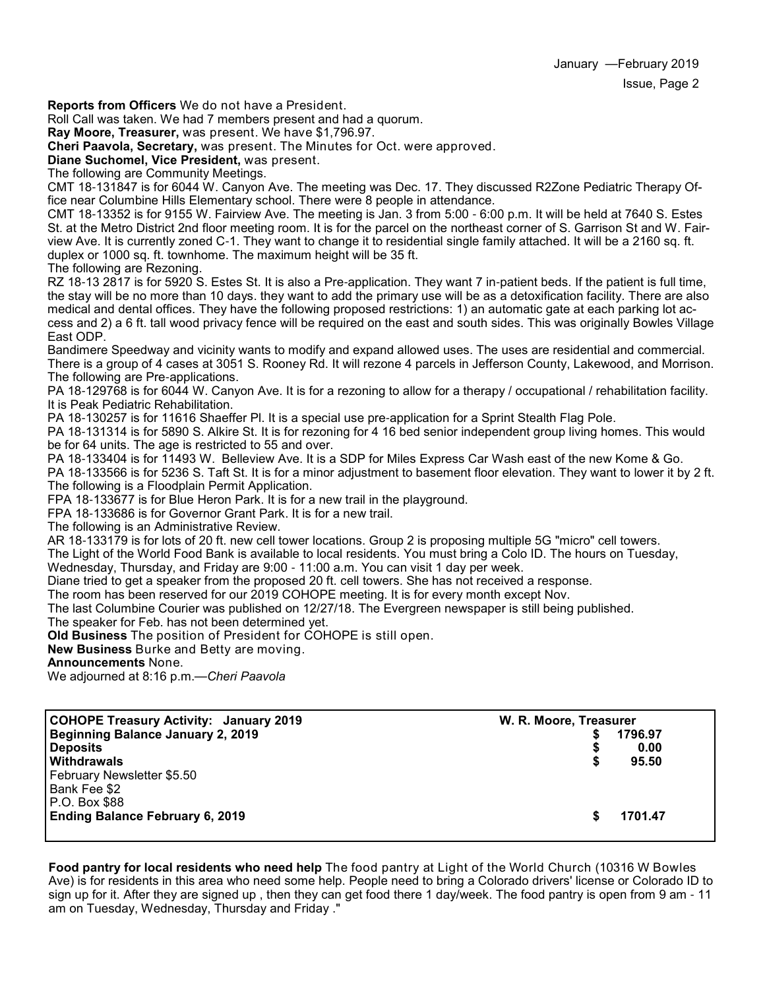**Reports from Officers** We do not have a President.

Roll Call was taken. We had 7 members present and had a quorum.

**Ray Moore, Treasurer,** was present. We have \$1,796.97.

**Cheri Paavola, Secretary,** was present. The Minutes for Oct. were approved.

**Diane Suchomel, Vice President,** was present.

The following are Community Meetings.

CMT 18-131847 is for 6044 W. Canyon Ave. The meeting was Dec. 17. They discussed R2Zone Pediatric Therapy Office near Columbine Hills Elementary school. There were 8 people in attendance.

CMT 18-13352 is for 9155 W. Fairview Ave. The meeting is Jan. 3 from 5:00 - 6:00 p.m. It will be held at 7640 S. Estes St. at the Metro District 2nd floor meeting room. It is for the parcel on the northeast corner of S. Garrison St and W. Fairview Ave. It is currently zoned C-1. They want to change it to residential single family attached. It will be a 2160 sq. ft. duplex or 1000 sq. ft. townhome. The maximum height will be 35 ft.

The following are Rezoning.

RZ 18-13 2817 is for 5920 S. Estes St. It is also a Pre-application. They want 7 in-patient beds. If the patient is full time, the stay will be no more than 10 days. they want to add the primary use will be as a detoxification facility. There are also medical and dental offices. They have the following proposed restrictions: 1) an automatic gate at each parking lot access and 2) a 6 ft. tall wood privacy fence will be required on the east and south sides. This was originally Bowles Village East ODP.

Bandimere Speedway and vicinity wants to modify and expand allowed uses. The uses are residential and commercial. There is a group of 4 cases at 3051 S. Rooney Rd. It will rezone 4 parcels in Jefferson County, Lakewood, and Morrison. The following are Pre-applications.

PA 18-129768 is for 6044 W. Canyon Ave. It is for a rezoning to allow for a therapy / occupational / rehabilitation facility. It is Peak Pediatric Rehabilitation.

PA 18-130257 is for 11616 Shaeffer Pl. It is a special use pre-application for a Sprint Stealth Flag Pole.

PA 18-131314 is for 5890 S. Alkire St. It is for rezoning for 4 16 bed senior independent group living homes. This would be for 64 units. The age is restricted to 55 and over.

PA 18-133404 is for 11493 W. Belleview Ave. It is a SDP for Miles Express Car Wash east of the new Kome & Go. PA 18-133566 is for 5236 S. Taft St. It is for a minor adjustment to basement floor elevation. They want to lower it by 2 ft. The following is a Floodplain Permit Application.

FPA 18-133677 is for Blue Heron Park. It is for a new trail in the playground.

FPA 18-133686 is for Governor Grant Park. It is for a new trail.

The following is an Administrative Review.

AR 18-133179 is for lots of 20 ft. new cell tower locations. Group 2 is proposing multiple 5G "micro" cell towers.

The Light of the World Food Bank is available to local residents. You must bring a Colo ID. The hours on Tuesday,

Wednesday, Thursday, and Friday are 9:00 - 11:00 a.m. You can visit 1 day per week.

Diane tried to get a speaker from the proposed 20 ft. cell towers. She has not received a response.

The room has been reserved for our 2019 COHOPE meeting. It is for every month except Nov.

The last Columbine Courier was published on 12/27/18. The Evergreen newspaper is still being published.

The speaker for Feb. has not been determined yet.

**Old Business** The position of President for COHOPE is still open.

**New Business** Burke and Betty are moving.

**Announcements** None.

We adjourned at 8:16 p.m.—*Cheri Paavola*

| W. R. Moore, Treasurer |         |
|------------------------|---------|
|                        | 1796.97 |
|                        | 0.00    |
| \$                     | 95.50   |
|                        |         |
|                        |         |
|                        |         |
| S.                     | 1701.47 |
|                        |         |

**Food pantry for local residents who need help** The food pantry at Light of the World Church (10316 W Bowles Ave) is for residents in this area who need some help. People need to bring a Colorado drivers' license or Colorado ID to sign up for it. After they are signed up , then they can get food there 1 day/week. The food pantry is open from 9 am - 11 am on Tuesday, Wednesday, Thursday and Friday ."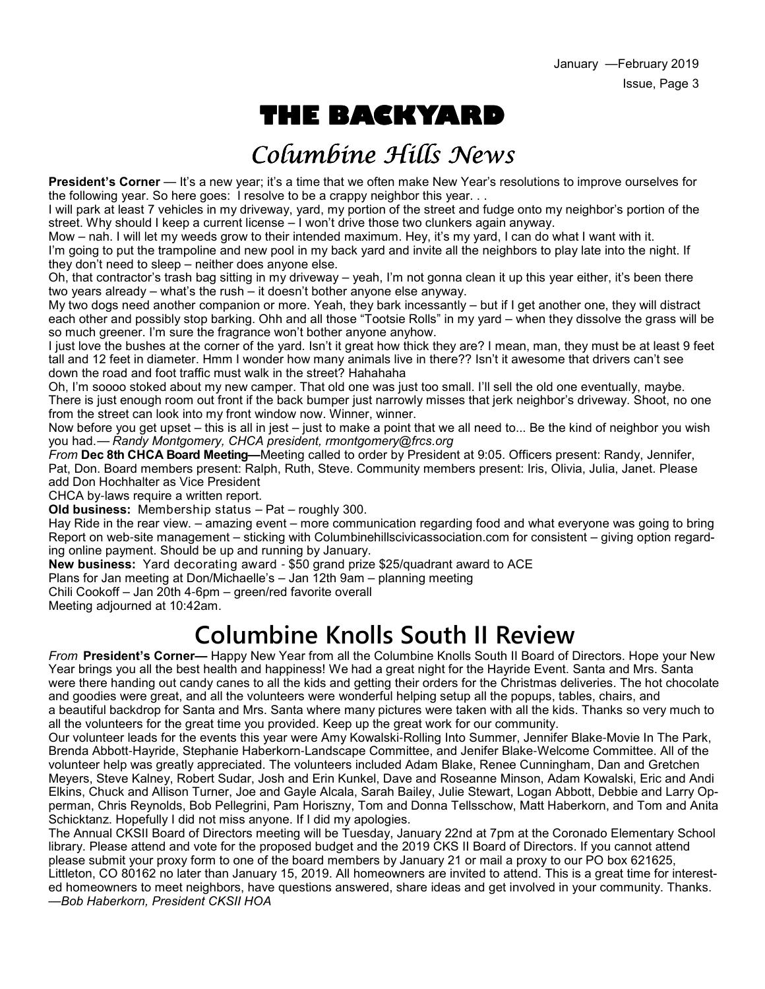# **THE BACKYARD**

# Columbine Hills News

**President's Corner** — It's a new year; it's a time that we often make New Year's resolutions to improve ourselves for the following year. So here goes: I resolve to be a crappy neighbor this year. . .

I will park at least 7 vehicles in my driveway, yard, my portion of the street and fudge onto my neighbor's portion of the street. Why should I keep a current license – I won't drive those two clunkers again anyway.

Mow – nah. I will let my weeds grow to their intended maximum. Hey, it's my yard, I can do what I want with it. I'm going to put the trampoline and new pool in my back yard and invite all the neighbors to play late into the night. If they don't need to sleep – neither does anyone else.

Oh, that contractor's trash bag sitting in my driveway – yeah, I'm not gonna clean it up this year either, it's been there two years already – what's the rush – it doesn't bother anyone else anyway.

My two dogs need another companion or more. Yeah, they bark incessantly – but if I get another one, they will distract each other and possibly stop barking. Ohh and all those "Tootsie Rolls" in my yard – when they dissolve the grass will be so much greener. I'm sure the fragrance won't bother anyone anyhow.

I just love the bushes at the corner of the yard. Isn't it great how thick they are? I mean, man, they must be at least 9 feet tall and 12 feet in diameter. Hmm I wonder how many animals live in there?? Isn't it awesome that drivers can't see down the road and foot traffic must walk in the street? Hahahaha

Oh, I'm soooo stoked about my new camper. That old one was just too small. I'll sell the old one eventually, maybe. There is just enough room out front if the back bumper just narrowly misses that jerk neighbor's driveway. Shoot, no one from the street can look into my front window now. Winner, winner.

Now before you get upset – this is all in jest – just to make a point that we all need to... Be the kind of neighbor you wish you had.— *Randy Montgomery, CHCA president, rmontgomery@frcs.org*

*From* **Dec 8th CHCA Board Meeting—**Meeting called to order by President at 9:05. Officers present: Randy, Jennifer, Pat, Don. Board members present: Ralph, Ruth, Steve. Community members present: Iris, Olivia, Julia, Janet. Please add Don Hochhalter as Vice President

CHCA by-laws require a written report.

**Old business:** Membership status – Pat – roughly 300.

Hay Ride in the rear view. – amazing event – more communication regarding food and what everyone was going to bring Report on web-site management – sticking with Columbinehillscivicassociation.com for consistent – giving option regarding online payment. Should be up and running by January.

**New business:** Yard decorating award - \$50 grand prize \$25/quadrant award to ACE

Plans for Jan meeting at Don/Michaelle's – Jan 12th 9am – planning meeting

Chili Cookoff – Jan 20th 4-6pm – green/red favorite overall

Meeting adjourned at 10:42am.

## **Columbine Knolls South II Review**

*From* **President's Corner—** Happy New Year from all the Columbine Knolls South II Board of Directors. Hope your New Year brings you all the best health and happiness! We had a great night for the Hayride Event. Santa and Mrs. Santa were there handing out candy canes to all the kids and getting their orders for the Christmas deliveries. The hot chocolate and goodies were great, and all the volunteers were wonderful helping setup all the popups, tables, chairs, and a beautiful backdrop for Santa and Mrs. Santa where many pictures were taken with all the kids. Thanks so very much to all the volunteers for the great time you provided. Keep up the great work for our community.

Our volunteer leads for the events this year were Amy Kowalski-Rolling Into Summer, Jennifer Blake-Movie In The Park, Brenda Abbott-Hayride, Stephanie Haberkorn-Landscape Committee, and Jenifer Blake-Welcome Committee. All of the volunteer help was greatly appreciated. The volunteers included Adam Blake, Renee Cunningham, Dan and Gretchen Meyers, Steve Kalney, Robert Sudar, Josh and Erin Kunkel, Dave and Roseanne Minson, Adam Kowalski, Eric and Andi Elkins, Chuck and Allison Turner, Joe and Gayle Alcala, Sarah Bailey, Julie Stewart, Logan Abbott, Debbie and Larry Opperman, Chris Reynolds, Bob Pellegrini, Pam Horiszny, Tom and Donna Tellsschow, Matt Haberkorn, and Tom and Anita Schicktanz. Hopefully I did not miss anyone. If I did my apologies.

The Annual CKSII Board of Directors meeting will be Tuesday, January 22nd at 7pm at the Coronado Elementary School library. Please attend and vote for the proposed budget and the 2019 CKS II Board of Directors. If you cannot attend please submit your proxy form to one of the board members by January 21 or mail a proxy to our PO box 621625, Littleton, CO 80162 no later than January 15, 2019. All homeowners are invited to attend. This is a great time for interested homeowners to meet neighbors, have questions answered, share ideas and get involved in your community. Thanks.

—*Bob Haberkorn, President CKSII HOA*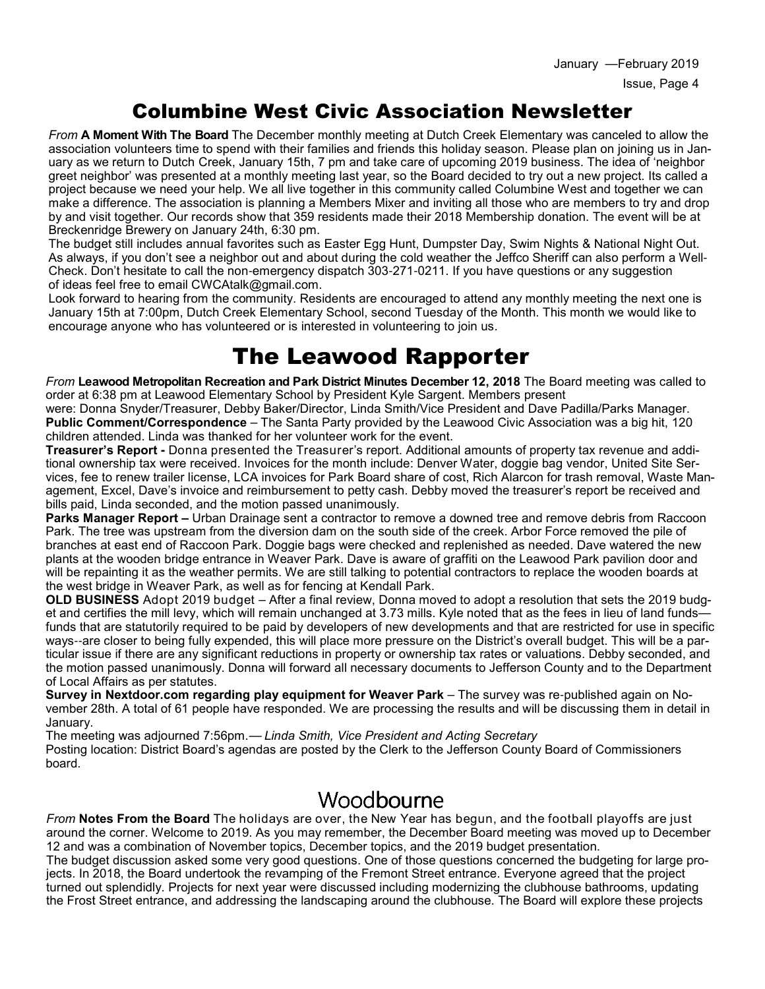### Columbine West Civic Association Newsletter

*From* **A Moment With The Board** The December monthly meeting at Dutch Creek Elementary was canceled to allow the association volunteers time to spend with their families and friends this holiday season. Please plan on joining us in January as we return to Dutch Creek, January 15th, 7 pm and take care of upcoming 2019 business. The idea of 'neighbor greet neighbor' was presented at a monthly meeting last year, so the Board decided to try out a new project. Its called a project because we need your help. We all live together in this community called Columbine West and together we can make a difference. The association is planning a Members Mixer and inviting all those who are members to try and drop by and visit together. Our records show that 359 residents made their 2018 Membership donation. The event will be at Breckenridge Brewery on January 24th, 6:30 pm.

The budget still includes annual favorites such as Easter Egg Hunt, Dumpster Day, Swim Nights & National Night Out. As always, if you don't see a neighbor out and about during the cold weather the Jeffco Sheriff can also perform a Well-Check. Don't hesitate to call the non-emergency dispatch 303-271-0211. If you have questions or any suggestion of ideas feel free to email CWCAtalk@gmail.com.

Look forward to hearing from the community. Residents are encouraged to attend any monthly meeting the next one is January 15th at 7:00pm, Dutch Creek Elementary School, second Tuesday of the Month. This month we would like to encourage anyone who has volunteered or is interested in volunteering to join us.

## The Leawood Rapporter

*From* **Leawood Metropolitan Recreation and Park District Minutes December 12, 2018** The Board meeting was called to order at 6:38 pm at Leawood Elementary School by President Kyle Sargent. Members present

were: Donna Snyder/Treasurer, Debby Baker/Director, Linda Smith/Vice President and Dave Padilla/Parks Manager. **Public Comment/Correspondence** – The Santa Party provided by the Leawood Civic Association was a big hit, 120 children attended. Linda was thanked for her volunteer work for the event.

**Treasurer's Report -** Donna presented the Treasurer's report. Additional amounts of property tax revenue and additional ownership tax were received. Invoices for the month include: Denver Water, doggie bag vendor, United Site Services, fee to renew trailer license, LCA invoices for Park Board share of cost, Rich Alarcon for trash removal, Waste Management, Excel, Dave's invoice and reimbursement to petty cash. Debby moved the treasurer's report be received and bills paid, Linda seconded, and the motion passed unanimously.

**Parks Manager Report –** Urban Drainage sent a contractor to remove a downed tree and remove debris from Raccoon Park. The tree was upstream from the diversion dam on the south side of the creek. Arbor Force removed the pile of branches at east end of Raccoon Park. Doggie bags were checked and replenished as needed. Dave watered the new plants at the wooden bridge entrance in Weaver Park. Dave is aware of graffiti on the Leawood Park pavilion door and will be repainting it as the weather permits. We are still talking to potential contractors to replace the wooden boards at the west bridge in Weaver Park, as well as for fencing at Kendall Park.

**OLD BUSINESS** Adopt 2019 budget – After a final review, Donna moved to adopt a resolution that sets the 2019 budget and certifies the mill levy, which will remain unchanged at 3.73 mills. Kyle noted that as the fees in lieu of land funds funds that are statutorily required to be paid by developers of new developments and that are restricted for use in specific ways--are closer to being fully expended, this will place more pressure on the District's overall budget. This will be a particular issue if there are any significant reductions in property or ownership tax rates or valuations. Debby seconded, and the motion passed unanimously. Donna will forward all necessary documents to Jefferson County and to the Department of Local Affairs as per statutes.

**Survey in Nextdoor.com regarding play equipment for Weaver Park** – The survey was re-published again on November 28th. A total of 61 people have responded. We are processing the results and will be discussing them in detail in January.

The meeting was adjourned 7:56pm.— *Linda Smith, Vice President and Acting Secretary* Posting location: District Board's agendas are posted by the Clerk to the Jefferson County Board of Commissioners board.

### Woodbourne

*From* **Notes From the Board** The holidays are over, the New Year has begun, and the football playoffs are just around the corner. Welcome to 2019. As you may remember, the December Board meeting was moved up to December 12 and was a combination of November topics, December topics, and the 2019 budget presentation.

The budget discussion asked some very good questions. One of those questions concerned the budgeting for large projects. In 2018, the Board undertook the revamping of the Fremont Street entrance. Everyone agreed that the project turned out splendidly. Projects for next year were discussed including modernizing the clubhouse bathrooms, updating the Frost Street entrance, and addressing the landscaping around the clubhouse. The Board will explore these projects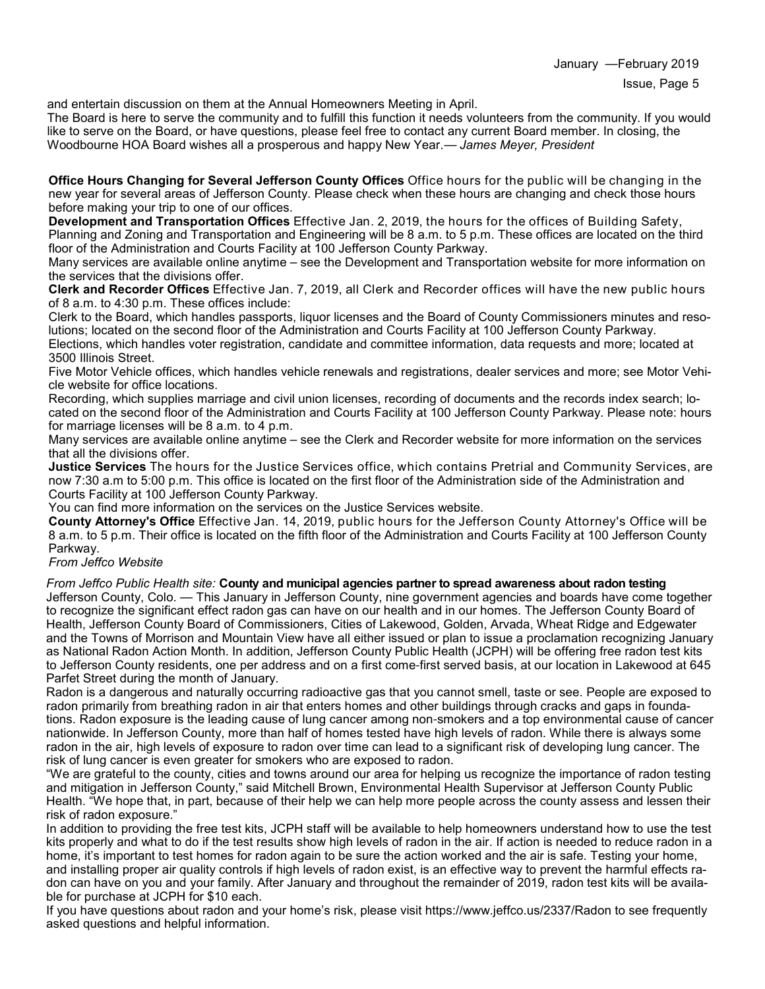January —February 2019

and entertain discussion on them at the Annual Homeowners Meeting in April.

The Board is here to serve the community and to fulfill this function it needs volunteers from the community. If you would like to serve on the Board, or have questions, please feel free to contact any current Board member. In closing, the Woodbourne HOA Board wishes all a prosperous and happy New Year.— *James Meyer, President*

**Office Hours Changing for Several Jefferson County Offices** Office hours for the public will be changing in the new year for several areas of Jefferson County. Please check when these hours are changing and check those hours before making your trip to one of our offices.

**Development and Transportation Offices** Effective Jan. 2, 2019, the hours for the offices of Building Safety, Planning and Zoning and Transportation and Engineering will be 8 a.m. to 5 p.m. These offices are located on the third floor of the Administration and Courts Facility at 100 Jefferson County Parkway.

Many services are available online anytime – see the Development and Transportation website for more information on the services that the divisions offer.

**Clerk and Recorder Offices** Effective Jan. 7, 2019, all Clerk and Recorder offices will have the new public hours of 8 a.m. to 4:30 p.m. These offices include:

Clerk to the Board, which handles passports, liquor licenses and the Board of County Commissioners minutes and resolutions; located on the second floor of the Administration and Courts Facility at 100 Jefferson County Parkway. Elections, which handles voter registration, candidate and committee information, data requests and more; located at

3500 Illinois Street.

Five Motor Vehicle offices, which handles vehicle renewals and registrations, dealer services and more; see Motor Vehicle website for office locations.

Recording, which supplies marriage and civil union licenses, recording of documents and the records index search; located on the second floor of the Administration and Courts Facility at 100 Jefferson County Parkway. Please note: hours for marriage licenses will be 8 a.m. to 4 p.m.

Many services are available online anytime – see the Clerk and Recorder website for more information on the services that all the divisions offer.

**Justice Services** The hours for the Justice Services office, which contains Pretrial and Community Services, are now 7:30 a.m to 5:00 p.m. This office is located on the first floor of the Administration side of the Administration and Courts Facility at 100 Jefferson County Parkway.

You can find more information on the services on the Justice Services website.

**County Attorney's Office** Effective Jan. 14, 2019, public hours for the Jefferson County Attorney's Office will be 8 a.m. to 5 p.m. Their office is located on the fifth floor of the Administration and Courts Facility at 100 Jefferson County Parkway.

#### *From Jeffco Website*

*From Jeffco Public Health site:* **County and municipal agencies partner to spread awareness about radon testing** Jefferson County, Colo. — This January in Jefferson County, nine government agencies and boards have come together to recognize the significant effect radon gas can have on our health and in our homes. The Jefferson County Board of Health, Jefferson County Board of Commissioners, Cities of Lakewood, Golden, Arvada, Wheat Ridge and Edgewater and the Towns of Morrison and Mountain View have all either issued or plan to issue a proclamation recognizing January as National Radon Action Month. In addition, Jefferson County Public Health (JCPH) will be offering free radon test kits to Jefferson County residents, one per address and on a first come-first served basis, at our location in Lakewood at 645 Parfet Street during the month of January.

Radon is a dangerous and naturally occurring radioactive gas that you cannot smell, taste or see. People are exposed to radon primarily from breathing radon in air that enters homes and other buildings through cracks and gaps in foundations. Radon exposure is the leading cause of lung cancer among non-smokers and a top environmental cause of cancer nationwide. In Jefferson County, more than half of homes tested have high levels of radon. While there is always some radon in the air, high levels of exposure to radon over time can lead to a significant risk of developing lung cancer. The risk of lung cancer is even greater for smokers who are exposed to radon.

"We are grateful to the county, cities and towns around our area for helping us recognize the importance of radon testing and mitigation in Jefferson County," said Mitchell Brown, Environmental Health Supervisor at Jefferson County Public Health. "We hope that, in part, because of their help we can help more people across the county assess and lessen their risk of radon exposure."

In addition to providing the free test kits, JCPH staff will be available to help homeowners understand how to use the test kits properly and what to do if the test results show high levels of radon in the air. If action is needed to reduce radon in a home, it's important to test homes for radon again to be sure the action worked and the air is safe. Testing your home, and installing proper air quality controls if high levels of radon exist, is an effective way to prevent the harmful effects radon can have on you and your family. After January and throughout the remainder of 2019, radon test kits will be available for purchase at JCPH for \$10 each.

If you have questions about radon and your home's risk, please visit https://www.jeffco.us/2337/Radon to see frequently asked questions and helpful information.